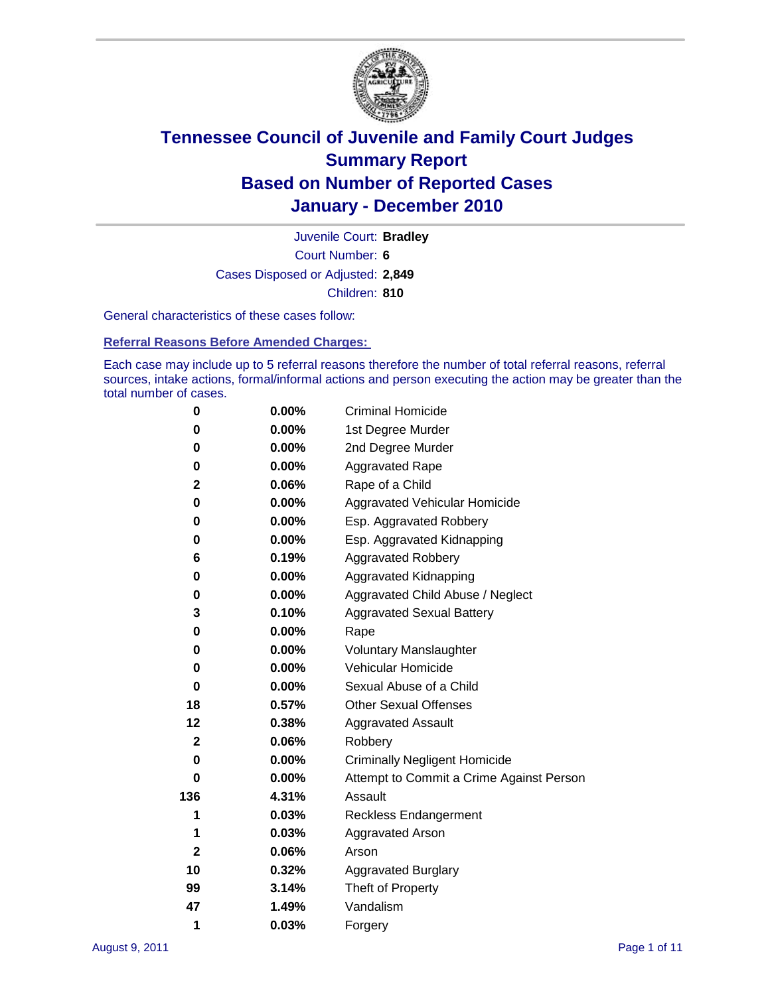

Court Number: **6** Juvenile Court: **Bradley** Cases Disposed or Adjusted: **2,849** Children: **810**

General characteristics of these cases follow:

**Referral Reasons Before Amended Charges:** 

Each case may include up to 5 referral reasons therefore the number of total referral reasons, referral sources, intake actions, formal/informal actions and person executing the action may be greater than the total number of cases.

| 0            | $0.00\%$ | <b>Criminal Homicide</b>                 |
|--------------|----------|------------------------------------------|
| 0            | 0.00%    | 1st Degree Murder                        |
| 0            | $0.00\%$ | 2nd Degree Murder                        |
| 0            | $0.00\%$ | <b>Aggravated Rape</b>                   |
| 2            | 0.06%    | Rape of a Child                          |
| 0            | 0.00%    | Aggravated Vehicular Homicide            |
| 0            | 0.00%    | Esp. Aggravated Robbery                  |
| 0            | $0.00\%$ | Esp. Aggravated Kidnapping               |
| 6            | 0.19%    | <b>Aggravated Robbery</b>                |
| 0            | $0.00\%$ | Aggravated Kidnapping                    |
| 0            | 0.00%    | Aggravated Child Abuse / Neglect         |
| 3            | 0.10%    | <b>Aggravated Sexual Battery</b>         |
| 0            | 0.00%    | Rape                                     |
| 0            | $0.00\%$ | <b>Voluntary Manslaughter</b>            |
| 0            | 0.00%    | Vehicular Homicide                       |
| 0            | 0.00%    | Sexual Abuse of a Child                  |
| 18           | 0.57%    | <b>Other Sexual Offenses</b>             |
| 12           | 0.38%    | <b>Aggravated Assault</b>                |
| 2            | 0.06%    | Robbery                                  |
| 0            | 0.00%    | <b>Criminally Negligent Homicide</b>     |
| 0            | $0.00\%$ | Attempt to Commit a Crime Against Person |
| 136          | 4.31%    | Assault                                  |
| 1            | 0.03%    | <b>Reckless Endangerment</b>             |
| 1            | 0.03%    | <b>Aggravated Arson</b>                  |
| $\mathbf{2}$ | 0.06%    | Arson                                    |
| 10           | 0.32%    | <b>Aggravated Burglary</b>               |
| 99           | 3.14%    | Theft of Property                        |
| 47           | 1.49%    | Vandalism                                |
| 1            | 0.03%    | Forgery                                  |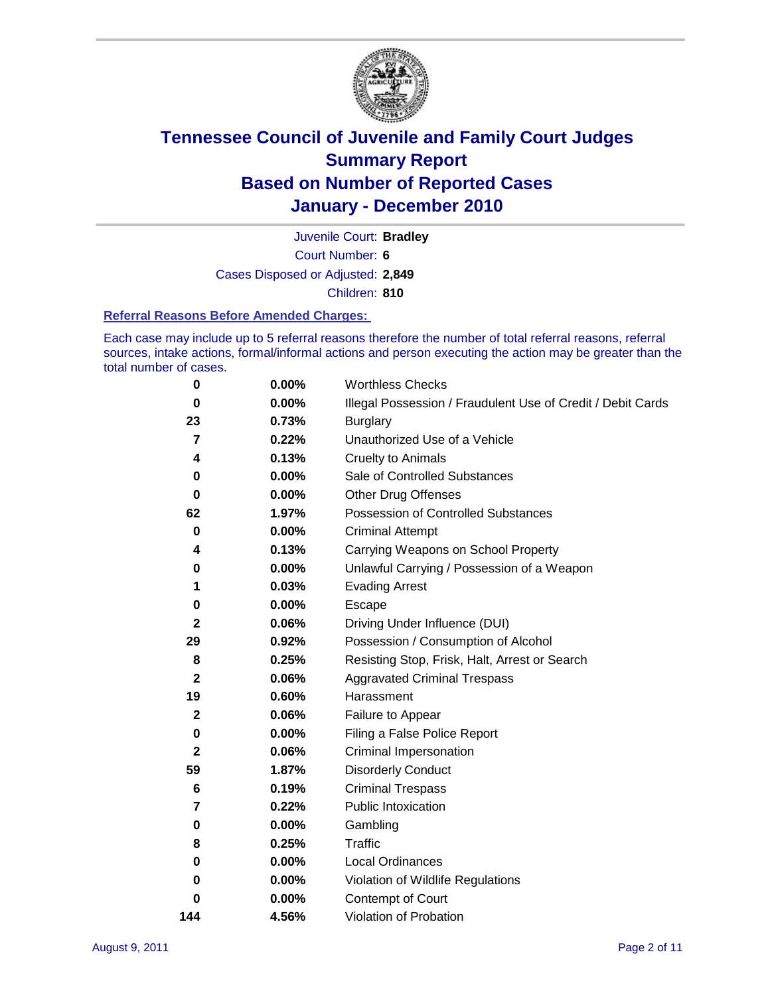

Court Number: **6** Juvenile Court: **Bradley** Cases Disposed or Adjusted: **2,849**

Children: **810**

#### **Referral Reasons Before Amended Charges:**

Each case may include up to 5 referral reasons therefore the number of total referral reasons, referral sources, intake actions, formal/informal actions and person executing the action may be greater than the total number of cases.

| $\pmb{0}$      | 0.00%    | <b>Worthless Checks</b>                                     |
|----------------|----------|-------------------------------------------------------------|
| 0              | 0.00%    | Illegal Possession / Fraudulent Use of Credit / Debit Cards |
| 23             | 0.73%    | <b>Burglary</b>                                             |
| $\overline{7}$ | 0.22%    | Unauthorized Use of a Vehicle                               |
| 4              | 0.13%    | <b>Cruelty to Animals</b>                                   |
| 0              | 0.00%    | Sale of Controlled Substances                               |
| 0              | $0.00\%$ | <b>Other Drug Offenses</b>                                  |
| 62             | 1.97%    | Possession of Controlled Substances                         |
| $\mathbf 0$    | $0.00\%$ | <b>Criminal Attempt</b>                                     |
| 4              | 0.13%    | Carrying Weapons on School Property                         |
| 0              | $0.00\%$ | Unlawful Carrying / Possession of a Weapon                  |
| 1              | 0.03%    | <b>Evading Arrest</b>                                       |
| 0              | 0.00%    | Escape                                                      |
| $\mathbf{2}$   | 0.06%    | Driving Under Influence (DUI)                               |
| 29             | 0.92%    | Possession / Consumption of Alcohol                         |
| 8              | 0.25%    | Resisting Stop, Frisk, Halt, Arrest or Search               |
| $\mathbf{2}$   | 0.06%    | <b>Aggravated Criminal Trespass</b>                         |
| 19             | 0.60%    | Harassment                                                  |
| $\mathbf 2$    | 0.06%    | Failure to Appear                                           |
| 0              | $0.00\%$ | Filing a False Police Report                                |
| $\mathbf{2}$   | 0.06%    | Criminal Impersonation                                      |
| 59             | 1.87%    | <b>Disorderly Conduct</b>                                   |
| 6              | 0.19%    | <b>Criminal Trespass</b>                                    |
| 7              | 0.22%    | <b>Public Intoxication</b>                                  |
| 0              | $0.00\%$ | Gambling                                                    |
| 8              | 0.25%    | <b>Traffic</b>                                              |
| 0              | $0.00\%$ | Local Ordinances                                            |
| 0              | $0.00\%$ | Violation of Wildlife Regulations                           |
| 0              | $0.00\%$ | Contempt of Court                                           |
| 144            | 4.56%    | Violation of Probation                                      |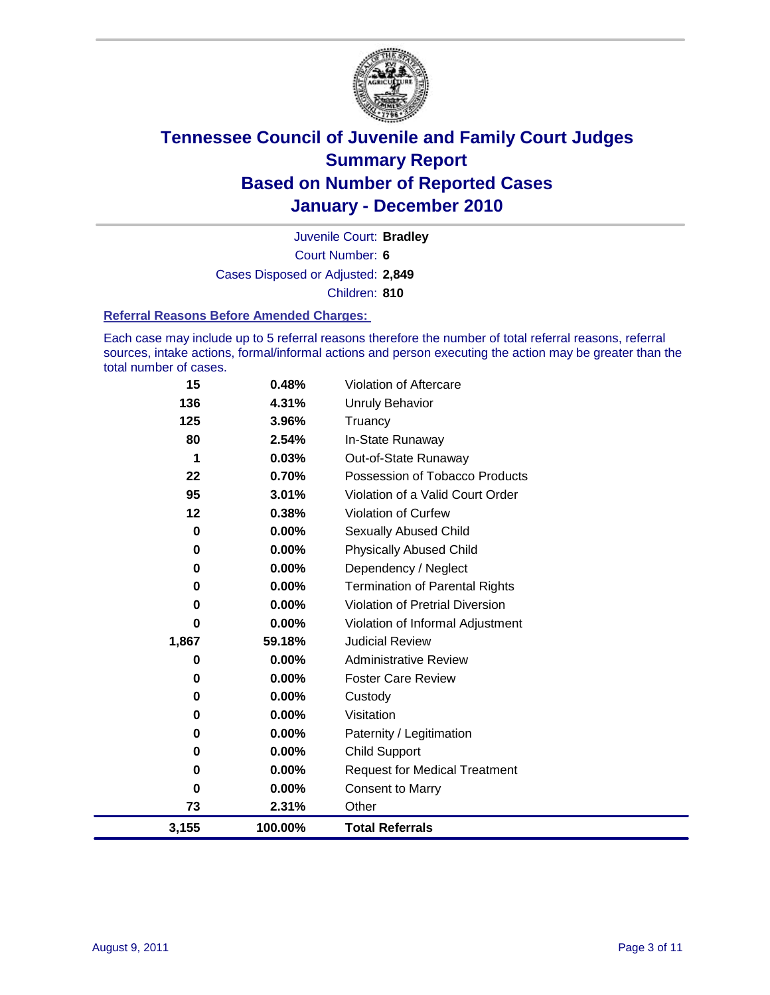

Court Number: **6** Juvenile Court: **Bradley** Cases Disposed or Adjusted: **2,849** Children: **810**

#### **Referral Reasons Before Amended Charges:**

Each case may include up to 5 referral reasons therefore the number of total referral reasons, referral sources, intake actions, formal/informal actions and person executing the action may be greater than the total number of cases.

| 15        | 0.48%    | Violation of Aftercare                 |
|-----------|----------|----------------------------------------|
| 136       | 4.31%    | <b>Unruly Behavior</b>                 |
| 125       | 3.96%    | Truancy                                |
| 80        | 2.54%    | In-State Runaway                       |
| 1         | 0.03%    | Out-of-State Runaway                   |
| 22        | 0.70%    | Possession of Tobacco Products         |
| 95        | 3.01%    | Violation of a Valid Court Order       |
| 12        | 0.38%    | <b>Violation of Curfew</b>             |
| 0         | 0.00%    | <b>Sexually Abused Child</b>           |
| $\bf{0}$  | $0.00\%$ | <b>Physically Abused Child</b>         |
| 0         | 0.00%    | Dependency / Neglect                   |
| 0         | 0.00%    | <b>Termination of Parental Rights</b>  |
| 0         | 0.00%    | <b>Violation of Pretrial Diversion</b> |
| 0         | 0.00%    | Violation of Informal Adjustment       |
| 1,867     | 59.18%   | <b>Judicial Review</b>                 |
| 0         | $0.00\%$ | <b>Administrative Review</b>           |
| 0         | $0.00\%$ | <b>Foster Care Review</b>              |
| 0         | 0.00%    | Custody                                |
| 0         | $0.00\%$ | Visitation                             |
| 0         | 0.00%    | Paternity / Legitimation               |
| 0         | $0.00\%$ | Child Support                          |
| $\pmb{0}$ | 0.00%    | <b>Request for Medical Treatment</b>   |
| 0         | $0.00\%$ | <b>Consent to Marry</b>                |
| 73        | 2.31%    | Other                                  |
| 3,155     | 100.00%  | <b>Total Referrals</b>                 |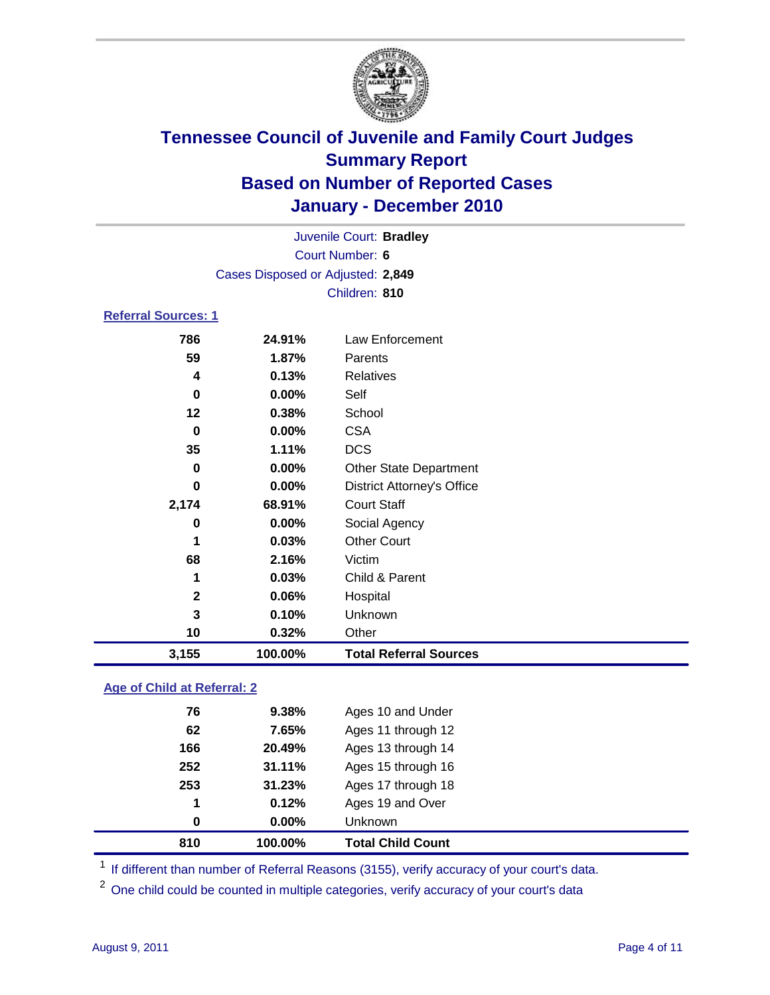

| 3,155                      | 100.00%                           | <b>Total Referral Sources</b>     |  |  |  |  |
|----------------------------|-----------------------------------|-----------------------------------|--|--|--|--|
| 10                         | 0.32%                             | Other                             |  |  |  |  |
| 3                          | 0.10%                             | Unknown                           |  |  |  |  |
| $\mathbf{2}$               | 0.06%                             | Hospital                          |  |  |  |  |
| 1                          | 0.03%                             | Child & Parent                    |  |  |  |  |
| 68                         | 2.16%                             | Victim                            |  |  |  |  |
| 1                          | 0.03%                             | <b>Other Court</b>                |  |  |  |  |
| 0                          | 0.00%                             | Social Agency                     |  |  |  |  |
| 2,174                      | 68.91%                            | <b>Court Staff</b>                |  |  |  |  |
| 0                          | $0.00\%$                          | <b>District Attorney's Office</b> |  |  |  |  |
| 0                          | $0.00\%$                          | <b>Other State Department</b>     |  |  |  |  |
| 35                         | 1.11%                             | <b>DCS</b>                        |  |  |  |  |
| 0                          | $0.00\%$                          | <b>CSA</b>                        |  |  |  |  |
| 12                         | 0.38%                             | School                            |  |  |  |  |
| 0                          | $0.00\%$                          | Self                              |  |  |  |  |
| 4                          | 0.13%                             | <b>Relatives</b>                  |  |  |  |  |
| 59                         | 1.87%                             | Parents                           |  |  |  |  |
| 786                        | 24.91%                            | Law Enforcement                   |  |  |  |  |
| <b>Referral Sources: 1</b> |                                   |                                   |  |  |  |  |
|                            |                                   | Children: 810                     |  |  |  |  |
|                            | Cases Disposed or Adjusted: 2,849 |                                   |  |  |  |  |
| Court Number: 6            |                                   |                                   |  |  |  |  |
|                            |                                   | Juvenile Court: Bradley           |  |  |  |  |

### **Age of Child at Referral: 2**

| 0   | $0.00\%$ | <b>Unknown</b>     |
|-----|----------|--------------------|
|     |          |                    |
| 1   | 0.12%    | Ages 19 and Over   |
| 253 | 31.23%   | Ages 17 through 18 |
| 252 | 31.11%   | Ages 15 through 16 |
| 166 | 20.49%   | Ages 13 through 14 |
| 62  | 7.65%    | Ages 11 through 12 |
| 76  | 9.38%    | Ages 10 and Under  |
|     |          |                    |

<sup>1</sup> If different than number of Referral Reasons (3155), verify accuracy of your court's data.

<sup>2</sup> One child could be counted in multiple categories, verify accuracy of your court's data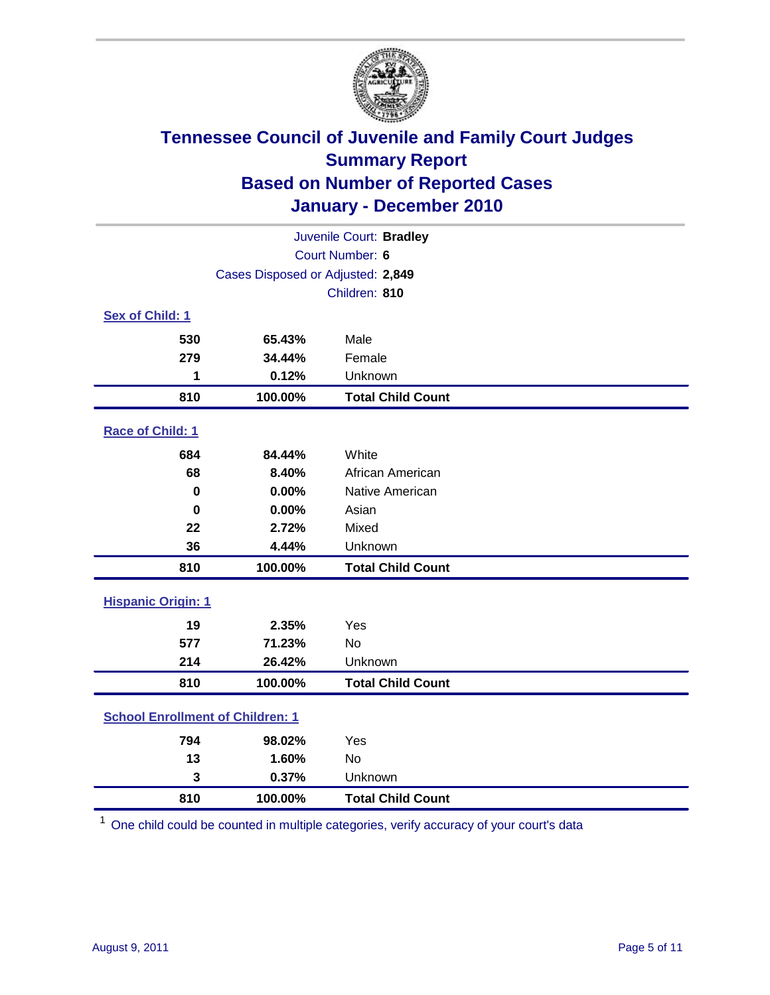

| Juvenile Court: Bradley                 |                                   |                          |  |  |  |
|-----------------------------------------|-----------------------------------|--------------------------|--|--|--|
|                                         | Court Number: 6                   |                          |  |  |  |
|                                         | Cases Disposed or Adjusted: 2,849 |                          |  |  |  |
|                                         |                                   | Children: 810            |  |  |  |
| Sex of Child: 1                         |                                   |                          |  |  |  |
| 530                                     | 65.43%                            | Male                     |  |  |  |
| 279                                     | 34.44%                            | Female                   |  |  |  |
| 1                                       | 0.12%                             | Unknown                  |  |  |  |
| 810                                     | 100.00%                           | <b>Total Child Count</b> |  |  |  |
| Race of Child: 1                        |                                   |                          |  |  |  |
| 684                                     | 84.44%                            | White                    |  |  |  |
| 68                                      | 8.40%                             | African American         |  |  |  |
| 0                                       | 0.00%                             | Native American          |  |  |  |
| $\bf{0}$                                | 0.00%                             | Asian                    |  |  |  |
| 22                                      | 2.72%                             | Mixed                    |  |  |  |
| 36                                      | 4.44%                             | Unknown                  |  |  |  |
| 810                                     | 100.00%                           | <b>Total Child Count</b> |  |  |  |
| <b>Hispanic Origin: 1</b>               |                                   |                          |  |  |  |
| 19                                      | 2.35%                             | Yes                      |  |  |  |
| 577                                     | 71.23%                            | <b>No</b>                |  |  |  |
| 214                                     | 26.42%                            | Unknown                  |  |  |  |
| 810                                     | 100.00%                           | <b>Total Child Count</b> |  |  |  |
| <b>School Enrollment of Children: 1</b> |                                   |                          |  |  |  |
| 794                                     | 98.02%                            | Yes                      |  |  |  |
| 13                                      | 1.60%                             | <b>No</b>                |  |  |  |
| 3                                       | 0.37%                             | Unknown                  |  |  |  |
| 810                                     | 100.00%                           | <b>Total Child Count</b> |  |  |  |

One child could be counted in multiple categories, verify accuracy of your court's data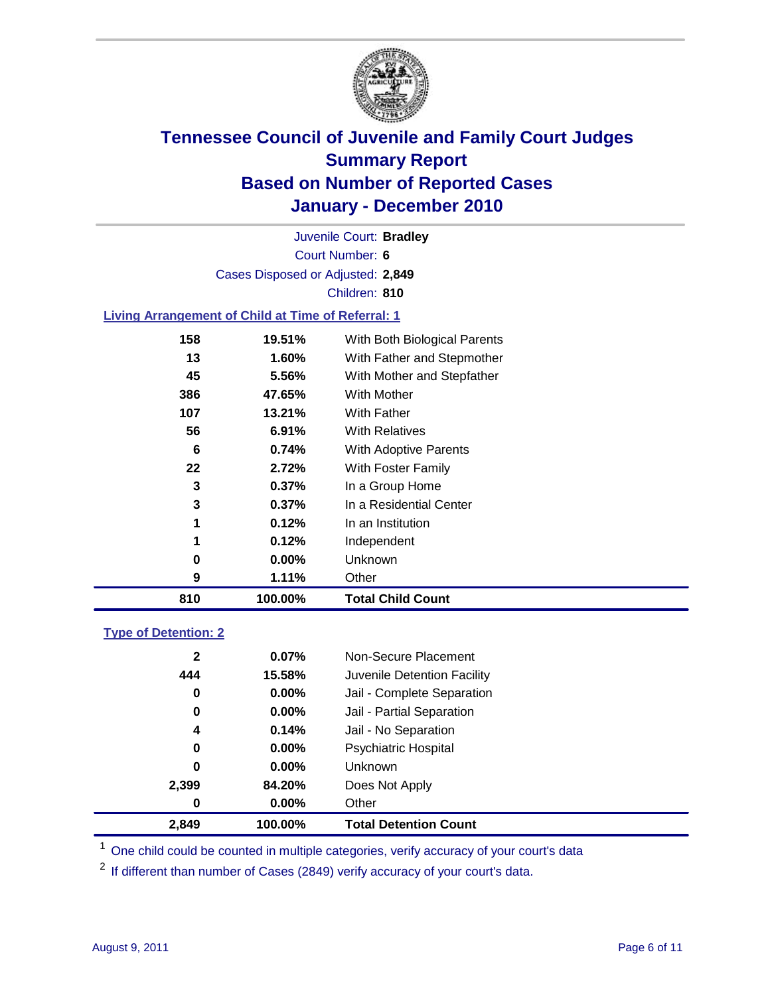

Court Number: **6** Juvenile Court: **Bradley** Cases Disposed or Adjusted: **2,849** Children: **810**

#### **Living Arrangement of Child at Time of Referral: 1**

| 810 | 100.00%  | <b>Total Child Count</b>     |
|-----|----------|------------------------------|
| 9   | 1.11%    | Other                        |
| 0   | 0.00%    | <b>Unknown</b>               |
| 1   | 0.12%    | Independent                  |
| 1   | 0.12%    | In an Institution            |
| 3   | 0.37%    | In a Residential Center      |
| 3   | 0.37%    | In a Group Home              |
| 22  | 2.72%    | With Foster Family           |
| 6   | 0.74%    | With Adoptive Parents        |
| 56  | $6.91\%$ | <b>With Relatives</b>        |
| 107 | 13.21%   | With Father                  |
| 386 | 47.65%   | With Mother                  |
| 45  | 5.56%    | With Mother and Stepfather   |
| 13  | 1.60%    | With Father and Stepmother   |
| 158 | 19.51%   | With Both Biological Parents |
|     |          |                              |

#### **Type of Detention: 2**

| 2,849        | 100.00%  | <b>Total Detention Count</b> |  |
|--------------|----------|------------------------------|--|
| 0            | $0.00\%$ | Other                        |  |
| 2,399        | 84.20%   | Does Not Apply               |  |
| 0            | $0.00\%$ | <b>Unknown</b>               |  |
| 0            | $0.00\%$ | Psychiatric Hospital         |  |
| 4            | 0.14%    | Jail - No Separation         |  |
| 0            | $0.00\%$ | Jail - Partial Separation    |  |
| 0            | 0.00%    | Jail - Complete Separation   |  |
| 444          | 15.58%   | Juvenile Detention Facility  |  |
| $\mathbf{2}$ | 0.07%    | Non-Secure Placement         |  |
|              |          |                              |  |

<sup>1</sup> One child could be counted in multiple categories, verify accuracy of your court's data

<sup>2</sup> If different than number of Cases (2849) verify accuracy of your court's data.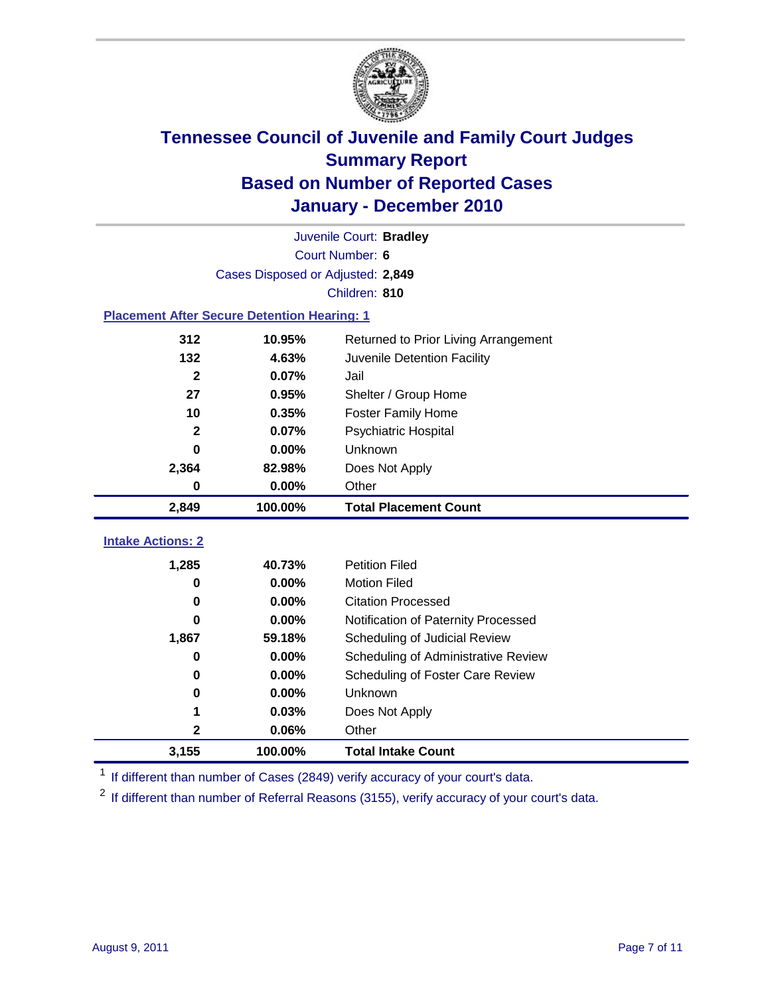

|                                                    | Juvenile Court: Bradley           |                                      |  |  |  |  |  |
|----------------------------------------------------|-----------------------------------|--------------------------------------|--|--|--|--|--|
|                                                    | Court Number: 6                   |                                      |  |  |  |  |  |
|                                                    | Cases Disposed or Adjusted: 2,849 |                                      |  |  |  |  |  |
|                                                    | Children: 810                     |                                      |  |  |  |  |  |
| <b>Placement After Secure Detention Hearing: 1</b> |                                   |                                      |  |  |  |  |  |
| 312                                                | 10.95%                            | Returned to Prior Living Arrangement |  |  |  |  |  |
| 132                                                | 4.63%                             | Juvenile Detention Facility          |  |  |  |  |  |
| $\overline{\mathbf{2}}$                            | 0.07%                             | Jail                                 |  |  |  |  |  |
| 27                                                 | 0.95%                             | Shelter / Group Home                 |  |  |  |  |  |
| 10                                                 | 0.35%                             | <b>Foster Family Home</b>            |  |  |  |  |  |
| $\mathbf{2}$                                       | 0.07%                             | <b>Psychiatric Hospital</b>          |  |  |  |  |  |
| 0                                                  | 0.00%                             | Unknown                              |  |  |  |  |  |
| 2,364                                              | 82.98%                            | Does Not Apply                       |  |  |  |  |  |
| 0                                                  | 0.00%                             | Other                                |  |  |  |  |  |
| 2,849                                              | 100.00%                           | <b>Total Placement Count</b>         |  |  |  |  |  |
|                                                    |                                   |                                      |  |  |  |  |  |
| <b>Intake Actions: 2</b>                           |                                   |                                      |  |  |  |  |  |
| 1,285                                              | 40.73%                            | <b>Petition Filed</b>                |  |  |  |  |  |
| 0                                                  | 0.00%                             | <b>Motion Filed</b>                  |  |  |  |  |  |
| $\bf{0}$                                           | 0.00%                             | <b>Citation Processed</b>            |  |  |  |  |  |
| 0                                                  | 0.00%                             | Notification of Paternity Processed  |  |  |  |  |  |
| 1,867                                              | 59.18%                            | Scheduling of Judicial Review        |  |  |  |  |  |
| $\bf{0}$                                           | 0.00%                             | Scheduling of Administrative Review  |  |  |  |  |  |
| 0                                                  | 0.00%                             | Scheduling of Foster Care Review     |  |  |  |  |  |
| $\bf{0}$                                           | 0.00%                             | Unknown                              |  |  |  |  |  |
| 1                                                  | 0.03%                             | Does Not Apply                       |  |  |  |  |  |
| 2                                                  | 0.06%                             | Other                                |  |  |  |  |  |
| 3,155                                              | 100.00%                           | <b>Total Intake Count</b>            |  |  |  |  |  |

<sup>1</sup> If different than number of Cases (2849) verify accuracy of your court's data.

<sup>2</sup> If different than number of Referral Reasons (3155), verify accuracy of your court's data.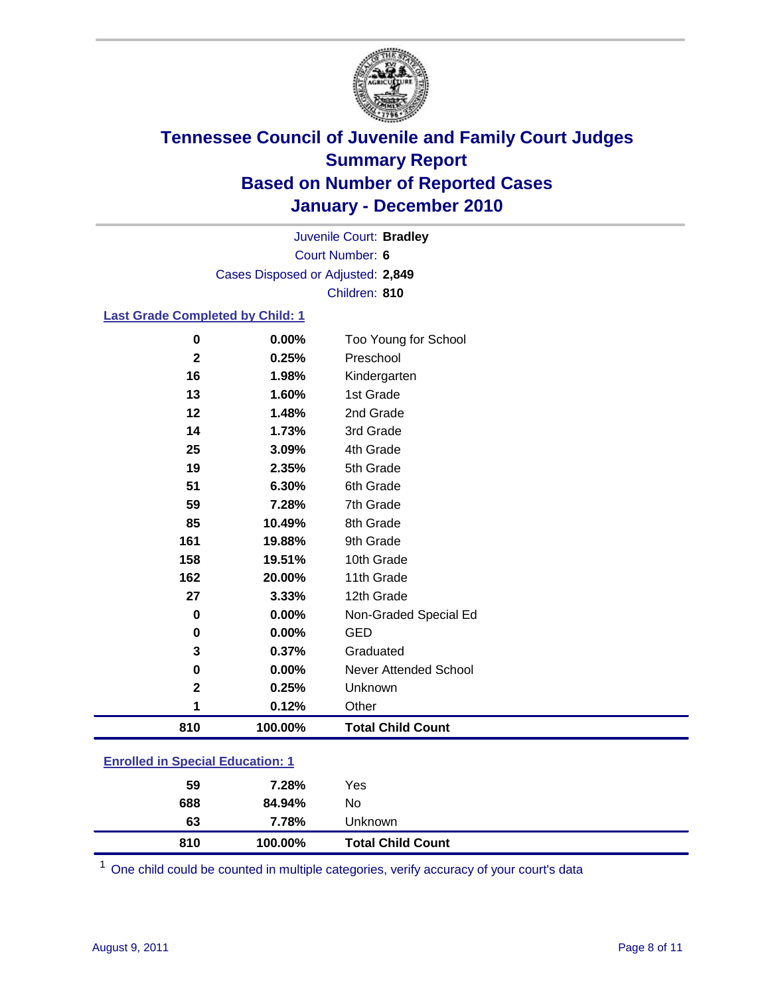

Court Number: **6** Juvenile Court: **Bradley** Cases Disposed or Adjusted: **2,849** Children: **810**

#### **Last Grade Completed by Child: 1**

| 810                     | 100.00% | <b>Total Child Count</b>     |
|-------------------------|---------|------------------------------|
| 1                       | 0.12%   | Other                        |
| $\overline{\mathbf{2}}$ | 0.25%   | Unknown                      |
| 0                       | 0.00%   | <b>Never Attended School</b> |
| 3                       | 0.37%   | Graduated                    |
| 0                       | 0.00%   | <b>GED</b>                   |
| 0                       | 0.00%   | Non-Graded Special Ed        |
| 27                      | 3.33%   | 12th Grade                   |
| 162                     | 20.00%  | 11th Grade                   |
| 158                     | 19.51%  | 10th Grade                   |
| 161                     | 19.88%  | 9th Grade                    |
| 85                      | 10.49%  | 8th Grade                    |
| 59                      | 7.28%   | 7th Grade                    |
| 51                      | 6.30%   | 6th Grade                    |
| 19                      | 2.35%   | 5th Grade                    |
| 25                      | 3.09%   | 4th Grade                    |
| 14                      | 1.73%   | 3rd Grade                    |
| 12                      | 1.48%   | 2nd Grade                    |
| 13                      | 1.60%   | 1st Grade                    |
| 16                      | 1.98%   | Kindergarten                 |
| $\mathbf{2}$            | 0.25%   | Preschool                    |
| $\pmb{0}$               | 0.00%   | Too Young for School         |

| <b>Enrolled in Special Education: 1</b> |  |
|-----------------------------------------|--|
|-----------------------------------------|--|

| 59  | 7.28%   | Yes                      |
|-----|---------|--------------------------|
| 688 | 84.94%  | No                       |
| 63  | 7.78%   | Unknown                  |
| 810 | 100.00% | <b>Total Child Count</b> |

One child could be counted in multiple categories, verify accuracy of your court's data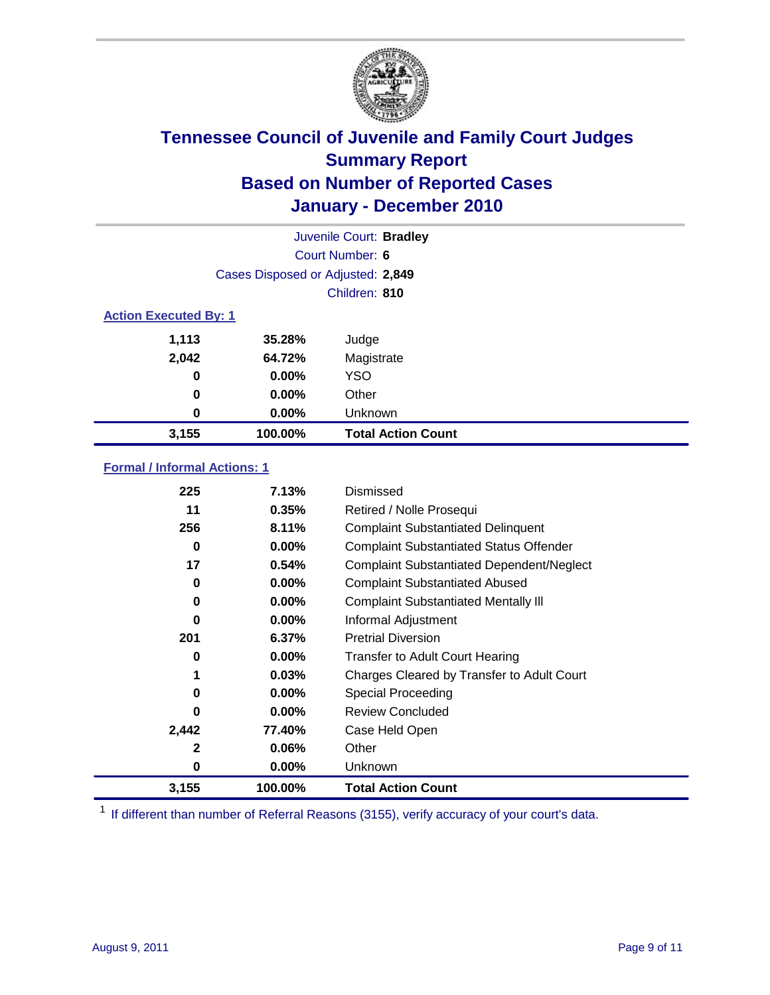

|                              |                                   | Juvenile Court: Bradley   |
|------------------------------|-----------------------------------|---------------------------|
|                              |                                   | Court Number: 6           |
|                              | Cases Disposed or Adjusted: 2,849 |                           |
|                              |                                   | Children: 810             |
| <b>Action Executed By: 1</b> |                                   |                           |
| 1,113                        | 35.28%                            | Judge                     |
| 2,042                        | 64.72%                            | Magistrate                |
| $\bf{0}$                     | $0.00\%$                          | <b>YSO</b>                |
| $\bf{0}$                     | $0.00\%$                          | Other                     |
| 0                            | $0.00\%$                          | Unknown                   |
| 3,155                        | 100.00%                           | <b>Total Action Count</b> |

### **Formal / Informal Actions: 1**

| 225          | 7.13%    | Dismissed                                        |
|--------------|----------|--------------------------------------------------|
| 11           | 0.35%    | Retired / Nolle Prosequi                         |
| 256          | 8.11%    | <b>Complaint Substantiated Delinquent</b>        |
| 0            | $0.00\%$ | <b>Complaint Substantiated Status Offender</b>   |
| 17           | 0.54%    | <b>Complaint Substantiated Dependent/Neglect</b> |
| 0            | 0.00%    | <b>Complaint Substantiated Abused</b>            |
| 0            | $0.00\%$ | <b>Complaint Substantiated Mentally III</b>      |
| $\bf{0}$     | $0.00\%$ | Informal Adjustment                              |
| 201          | 6.37%    | <b>Pretrial Diversion</b>                        |
| 0            | $0.00\%$ | <b>Transfer to Adult Court Hearing</b>           |
| 1            | 0.03%    | Charges Cleared by Transfer to Adult Court       |
| 0            | $0.00\%$ | Special Proceeding                               |
| 0            | $0.00\%$ | <b>Review Concluded</b>                          |
| 2,442        | 77.40%   | Case Held Open                                   |
| $\mathbf{2}$ | $0.06\%$ | Other                                            |
| 0            | $0.00\%$ | <b>Unknown</b>                                   |
| 3,155        | 100.00%  | <b>Total Action Count</b>                        |

<sup>1</sup> If different than number of Referral Reasons (3155), verify accuracy of your court's data.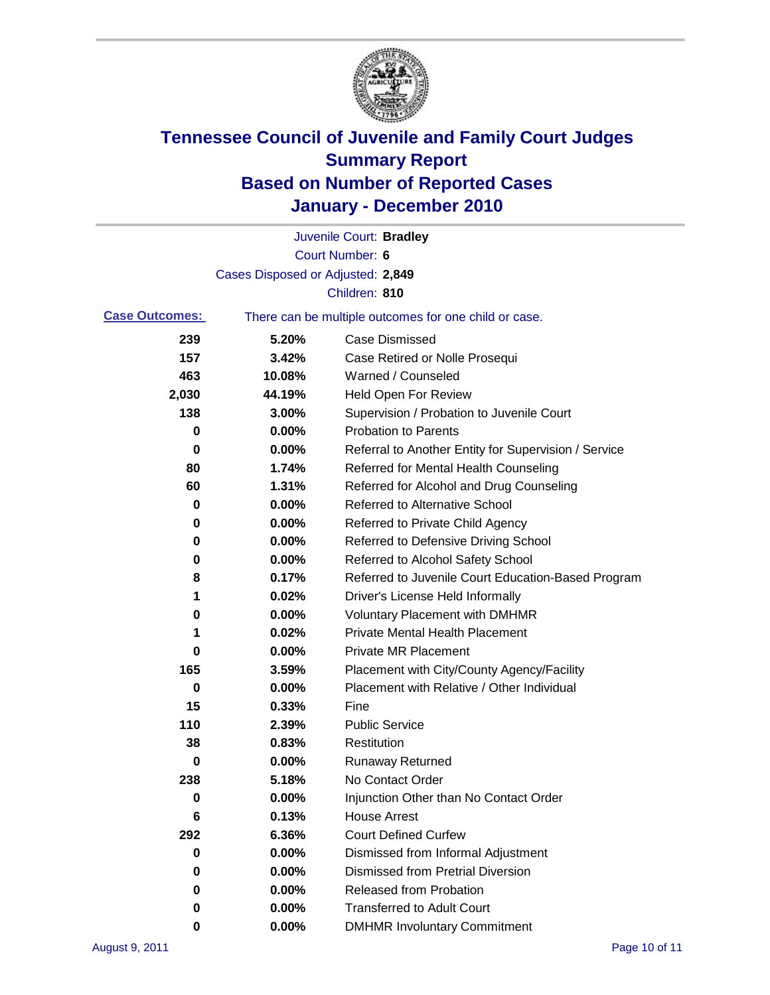

|                       |                                   | Juvenile Court: Bradley                               |
|-----------------------|-----------------------------------|-------------------------------------------------------|
|                       |                                   | <b>Court Number: 6</b>                                |
|                       | Cases Disposed or Adjusted: 2,849 |                                                       |
|                       |                                   | Children: 810                                         |
| <b>Case Outcomes:</b> |                                   | There can be multiple outcomes for one child or case. |
| 239                   | 5.20%                             | <b>Case Dismissed</b>                                 |
| 157                   | 3.42%                             | Case Retired or Nolle Prosequi                        |
| 463                   | 10.08%                            | Warned / Counseled                                    |
| 2,030                 | 44.19%                            | <b>Held Open For Review</b>                           |
| 138                   | 3.00%                             | Supervision / Probation to Juvenile Court             |
| 0                     | 0.00%                             | <b>Probation to Parents</b>                           |
| 0                     | 0.00%                             | Referral to Another Entity for Supervision / Service  |
| 80                    | 1.74%                             | Referred for Mental Health Counseling                 |
| 60                    | 1.31%                             | Referred for Alcohol and Drug Counseling              |
| 0                     | 0.00%                             | <b>Referred to Alternative School</b>                 |
| 0                     | 0.00%                             | Referred to Private Child Agency                      |
| 0                     | 0.00%                             | Referred to Defensive Driving School                  |
| 0                     | 0.00%                             | Referred to Alcohol Safety School                     |
| 8                     | 0.17%                             | Referred to Juvenile Court Education-Based Program    |
| 1                     | 0.02%                             | Driver's License Held Informally                      |
| 0                     | 0.00%                             | <b>Voluntary Placement with DMHMR</b>                 |
| 1                     | 0.02%                             | <b>Private Mental Health Placement</b>                |
| 0                     | 0.00%                             | <b>Private MR Placement</b>                           |
| 165                   | 3.59%                             | Placement with City/County Agency/Facility            |
| 0                     | 0.00%                             | Placement with Relative / Other Individual            |
| 15                    | 0.33%                             | Fine                                                  |
| 110                   | 2.39%                             | <b>Public Service</b>                                 |
| 38                    | 0.83%                             | Restitution                                           |
| 0                     | 0.00%                             | <b>Runaway Returned</b>                               |
| 238                   | 5.18%                             | No Contact Order                                      |
| 0                     | 0.00%                             | Injunction Other than No Contact Order                |
| 6                     | 0.13%                             | <b>House Arrest</b>                                   |
| 292                   | 6.36%                             | <b>Court Defined Curfew</b>                           |
| 0                     | 0.00%                             | Dismissed from Informal Adjustment                    |
| 0                     | 0.00%                             | <b>Dismissed from Pretrial Diversion</b>              |
| 0                     | 0.00%                             | Released from Probation                               |
| 0                     | 0.00%                             | <b>Transferred to Adult Court</b>                     |
| 0                     | $0.00\%$                          | <b>DMHMR Involuntary Commitment</b>                   |